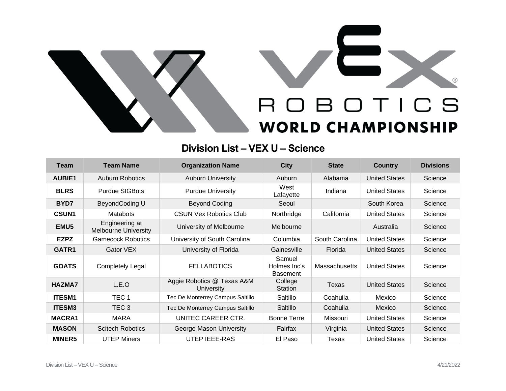



## **Division List – VEX U – Science**

| <b>Team</b>      | <b>Team Name</b>                              | <b>Organization Name</b>                 | <b>City</b>                               | <b>State</b>   | <b>Country</b>       | <b>Divisions</b> |
|------------------|-----------------------------------------------|------------------------------------------|-------------------------------------------|----------------|----------------------|------------------|
| <b>AUBIE1</b>    | <b>Auburn Robotics</b>                        | <b>Auburn University</b>                 | Auburn                                    | Alabama        | <b>United States</b> | Science          |
| <b>BLRS</b>      | <b>Purdue SIGBots</b>                         | <b>Purdue University</b>                 | West<br>Lafayette                         | Indiana        | <b>United States</b> | Science          |
| BYD7             | BeyondCoding U                                | <b>Beyond Coding</b>                     | Seoul                                     |                | South Korea          | Science          |
| <b>CSUN1</b>     | <b>Matabots</b>                               | <b>CSUN Vex Robotics Club</b>            | Northridge                                | California     | <b>United States</b> | Science          |
| EMU <sub>5</sub> | Engineering at<br><b>Melbourne University</b> | University of Melbourne                  | Melbourne                                 |                | Australia            | Science          |
| <b>EZPZ</b>      | <b>Gamecock Robotics</b>                      | University of South Carolina             | Columbia                                  | South Carolina | <b>United States</b> | Science          |
| GATR1            | Gator VEX                                     | University of Florida                    | Gainesville                               | Florida        | <b>United States</b> | Science          |
| <b>GOATS</b>     | <b>Completely Legal</b>                       | <b>FELLABOTICS</b>                       | Samuel<br>Holmes Inc's<br><b>Basement</b> | Massachusetts  | <b>United States</b> | Science          |
| <b>HAZMA7</b>    | L.E.O                                         | Aggie Robotics @ Texas A&M<br>University | College<br>Station                        | Texas          | <b>United States</b> | Science          |
| <b>ITESM1</b>    | TEC <sub>1</sub>                              | Tec De Monterrey Campus Saltillo         | Saltillo                                  | Coahuila       | Mexico               | Science          |
| <b>ITESM3</b>    | TEC <sub>3</sub>                              | Tec De Monterrey Campus Saltillo         | Saltillo                                  | Coahuila       | Mexico               | Science          |
| <b>MACRA1</b>    | <b>MARA</b>                                   | UNITEC CAREER CTR.                       | <b>Bonne Terre</b>                        | Missouri       | <b>United States</b> | Science          |
| <b>MASON</b>     | <b>Scitech Robotics</b>                       | George Mason University                  | Fairfax                                   | Virginia       | <b>United States</b> | Science          |
| <b>MINER5</b>    | <b>UTEP Miners</b>                            | <b>UTEP IEEE-RAS</b>                     | El Paso                                   | Texas          | <b>United States</b> | Science          |